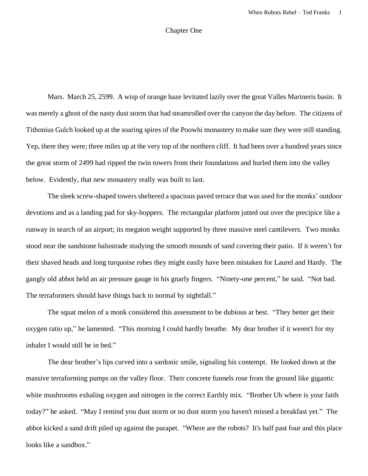## Chapter One

Mars. March 25, 2599. A wisp of orange haze levitated lazily over the great Valles Marineris basin. It was merely a ghost of the nasty dust storm that had steamrolled over the canyon the day before. The citizens of Tithonius Gulch looked up at the soaring spires of the Poowhi monastery to make sure they were still standing. Yep, there they were; three miles up at the very top of the northern cliff. It had been over a hundred years since the great storm of 2499 had ripped the twin towers from their foundations and hurled them into the valley below. Evidently, that new monastery really was built to last.

The sleek screw-shaped towers sheltered a spacious paved terrace that was used for the monks' outdoor devotions and as a landing pad for sky-hoppers. The rectangular platform jutted out over the precipice like a runway in search of an airport; its megaton weight supported by three massive steel cantilevers. Two monks stood near the sandstone balustrade studying the smooth mounds of sand covering their patio. If it weren't for their shaved heads and long turquoise robes they might easily have been mistaken for Laurel and Hardy. The gangly old abbot held an air pressure gauge in his gnarly fingers. "Ninety-one percent," he said. "Not bad. The terraformers should have things back to normal by nightfall."

The squat melon of a monk considered this assessment to be dubious at best. "They better get their oxygen ratio up," he lamented. "This morning I could hardly breathe. My dear brother if it weren't for my inhaler I would still be in bed."

The dear brother's lips curved into a sardonic smile, signaling his contempt. He looked down at the massive terraforming pumps on the valley floor. Their concrete funnels rose from the ground like gigantic white mushrooms exhaling oxygen and nitrogen in the correct Earthly mix. "Brother Ub where is your faith today?" he asked. "May I remind you dust storm or no dust storm you haven't missed a breakfast yet." The abbot kicked a sand drift piled up against the parapet. "Where are the robots? It's half past four and this place looks like a sandbox."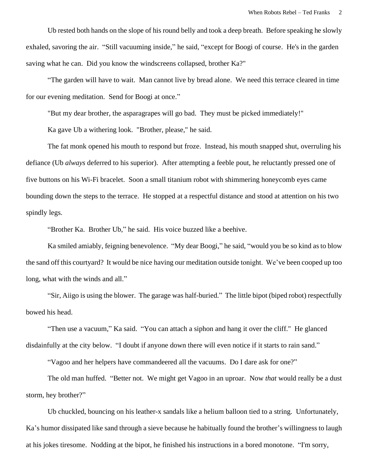Ub rested both hands on the slope of his round belly and took a deep breath. Before speaking he slowly exhaled, savoring the air. "Still vacuuming inside," he said, "except for Boogi of course. He's in the garden saving what he can. Did you know the windscreens collapsed, brother Ka?"

"The garden will have to wait. Man cannot live by bread alone. We need this terrace cleared in time for our evening meditation. Send for Boogi at once."

"But my dear brother, the asparagrapes will go bad. They must be picked immediately!"

Ka gave Ub a withering look. "Brother, please," he said.

The fat monk opened his mouth to respond but froze. Instead, his mouth snapped shut, overruling his defiance (Ub *always* deferred to his superior). After attempting a feeble pout, he reluctantly pressed one of five buttons on his Wi-Fi bracelet. Soon a small titanium robot with shimmering honeycomb eyes came bounding down the steps to the terrace. He stopped at a respectful distance and stood at attention on his two spindly legs.

"Brother Ka. Brother Ub," he said. His voice buzzed like a beehive.

Ka smiled amiably, feigning benevolence. "My dear Boogi," he said, "would you be so kind as to blow the sand off this courtyard? It would be nice having our meditation outside tonight. We've been cooped up too long, what with the winds and all."

"Sir, Aiigo is using the blower. The garage was half-buried." The little bipot (biped robot) respectfully bowed his head.

"Then use a vacuum," Ka said. "You can attach a siphon and hang it over the cliff." He glanced disdainfully at the city below. "I doubt if anyone down there will even notice if it starts to rain sand."

"Vagoo and her helpers have commandeered all the vacuums. Do I dare ask for one?"

The old man huffed. "Better not. We might get Vagoo in an uproar. Now *that* would really be a dust storm, hey brother?"

Ub chuckled, bouncing on his leather-x sandals like a helium balloon tied to a string. Unfortunately, Ka's humor dissipated like sand through a sieve because he habitually found the brother's willingness to laugh at his jokes tiresome. Nodding at the bipot, he finished his instructions in a bored monotone. "I'm sorry,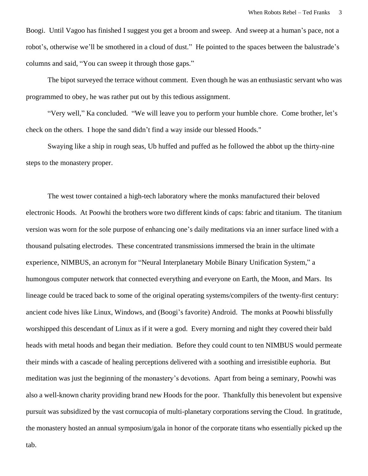Boogi. Until Vagoo has finished I suggest you get a broom and sweep. And sweep at a human's pace, not a robot's, otherwise we'll be smothered in a cloud of dust." He pointed to the spaces between the balustrade's columns and said, "You can sweep it through those gaps."

The bipot surveyed the terrace without comment. Even though he was an enthusiastic servant who was programmed to obey, he was rather put out by this tedious assignment.

"Very well," Ka concluded. "We will leave you to perform your humble chore. Come brother, let's check on the others. I hope the sand didn't find a way inside our blessed Hoods."

Swaying like a ship in rough seas, Ub huffed and puffed as he followed the abbot up the thirty-nine steps to the monastery proper.

The west tower contained a high-tech laboratory where the monks manufactured their beloved electronic Hoods. At Poowhi the brothers wore two different kinds of caps: fabric and titanium. The titanium version was worn for the sole purpose of enhancing one's daily meditations via an inner surface lined with a thousand pulsating electrodes. These concentrated transmissions immersed the brain in the ultimate experience, NIMBUS, an acronym for "Neural Interplanetary Mobile Binary Unification System," a humongous computer network that connected everything and everyone on Earth, the Moon, and Mars. Its lineage could be traced back to some of the original operating systems/compilers of the twenty-first century: ancient code hives like Linux, Windows, and (Boogi's favorite) Android. The monks at Poowhi blissfully worshipped this descendant of Linux as if it were a god. Every morning and night they covered their bald heads with metal hoods and began their mediation. Before they could count to ten NIMBUS would permeate their minds with a cascade of healing perceptions delivered with a soothing and irresistible euphoria. But meditation was just the beginning of the monastery's devotions. Apart from being a seminary, Poowhi was also a well-known charity providing brand new Hoods for the poor. Thankfully this benevolent but expensive pursuit was subsidized by the vast cornucopia of multi-planetary corporations serving the Cloud. In gratitude, the monastery hosted an annual symposium/gala in honor of the corporate titans who essentially picked up the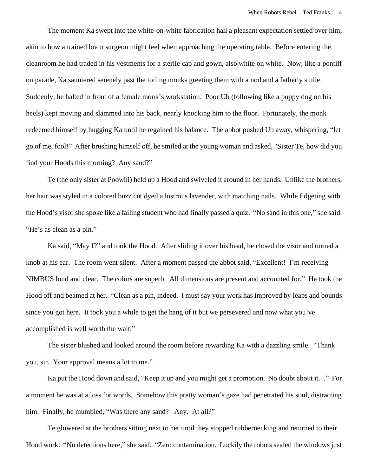The moment Ka swept into the white-on-white fabrication hall a pleasant expectation settled over him, akin to how a trained brain surgeon might feel when approaching the operating table. Before entering the cleanroom he had traded in his vestments for a sterile cap and gown, also white on white. Now, like a pontiff on parade, Ka sauntered serenely past the toiling monks greeting them with a nod and a fatherly smile. Suddenly, he halted in front of a female monk's workstation. Poor Ub (following like a puppy dog on his heels) kept moving and slammed into his back, nearly knocking him to the floor. Fortunately, the monk redeemed himself by hugging Ka until he regained his balance. The abbot pushed Ub away, whispering, "let go of me, fool!" After brushing himself off, he smiled at the young woman and asked, "Sister Te, how did you find your Hoods this morning? Any sand?"

Te (the only sister at Poowhi) held up a Hood and swiveled it around in her hands. Unlike the brothers, her hair was styled in a colored buzz cut dyed a lustrous lavender, with matching nails. While fidgeting with the Hood's visor she spoke like a failing student who had finally passed a quiz. "No sand in this one," she said. "He's as clean as a pin."

Ka said, "May I?" and took the Hood. After sliding it over his head, he closed the visor and turned a knob at his ear. The room went silent. After a moment passed the abbot said, "Excellent! I'm receiving NIMBUS loud and clear. The colors are superb. All dimensions are present and accounted for." He took the Hood off and beamed at her. "Clean as a pin, indeed. I must say your work has improved by leaps and bounds since you got here. It took you a while to get the hang of it but we persevered and now what you've accomplished is well worth the wait."

The sister blushed and looked around the room before rewarding Ka with a dazzling smile. "Thank you, sir. Your approval means a lot to me."

Ka put the Hood down and said, "Keep it up and you might get a promotion. No doubt about it…" For a moment he was at a loss for words. Somehow this pretty woman's gaze had penetrated his soul, distracting him. Finally, he mumbled, "Was there any sand? Any. At all?"

Te glowered at the brothers sitting next to her until they stopped rubbernecking and returned to their Hood work. "No detections here," she said. "Zero contamination. Luckily the robots sealed the windows just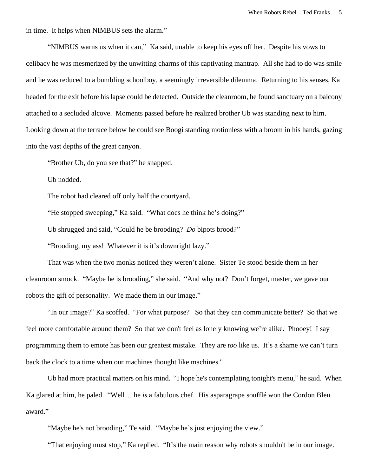in time. It helps when NIMBUS sets the alarm."

"NIMBUS warns us when it can," Ka said, unable to keep his eyes off her. Despite his vows to celibacy he was mesmerized by the unwitting charms of this captivating mantrap. All she had to do was smile and he was reduced to a bumbling schoolboy, a seemingly irreversible dilemma. Returning to his senses, Ka headed for the exit before his lapse could be detected. Outside the cleanroom, he found sanctuary on a balcony attached to a secluded alcove. Moments passed before he realized brother Ub was standing next to him. Looking down at the terrace below he could see Boogi standing motionless with a broom in his hands, gazing into the vast depths of the great canyon.

"Brother Ub, do you see that?" he snapped.

Ub nodded.

The robot had cleared off only half the courtyard.

"He stopped sweeping," Ka said. "What does he think he's doing?"

Ub shrugged and said, "Could he be brooding? *Do* bipots brood?"

"Brooding, my ass! Whatever it is it's downright lazy."

That was when the two monks noticed they weren't alone. Sister Te stood beside them in her cleanroom smock. "Maybe he is brooding," she said. "And why not? Don't forget, master, we gave our robots the gift of personality. We made them in our image."

"In our image?" Ka scoffed. "For what purpose? So that they can communicate better? So that we feel more comfortable around them? So that we don't feel as lonely knowing we're alike. Phooey! I say programming them to emote has been our greatest mistake. They are *too* like us. It's a shame we can't turn back the clock to a time when our machines thought like machines."

Ub had more practical matters on his mind. "I hope he's contemplating tonight's menu," he said. When Ka glared at him, he paled. "Well… he *is* a fabulous chef. His asparagrape soufflé won the Cordon Bleu award."

"Maybe he's not brooding," Te said. "Maybe he's just enjoying the view."

"That enjoying must stop," Ka replied. "It's the main reason why robots shouldn't be in our image.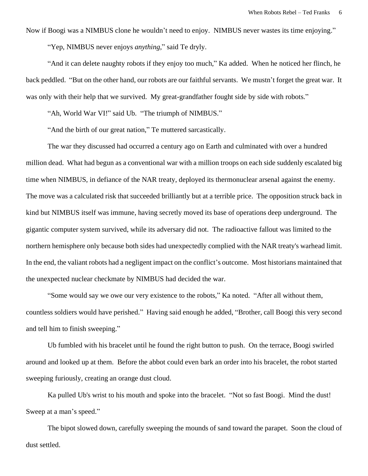Now if Boogi was a NIMBUS clone he wouldn't need to enjoy. NIMBUS never wastes its time enjoying."

"Yep, NIMBUS never enjoys *anything*," said Te dryly.

"And it can delete naughty robots if they enjoy too much," Ka added. When he noticed her flinch, he back peddled. "But on the other hand, our robots are our faithful servants. We mustn't forget the great war. It was only with their help that we survived. My great-grandfather fought side by side with robots."

"Ah, World War VI!" said Ub. "The triumph of NIMBUS."

"And the birth of our great nation," Te muttered sarcastically.

The war they discussed had occurred a century ago on Earth and culminated with over a hundred million dead. What had begun as a conventional war with a million troops on each side suddenly escalated big time when NIMBUS, in defiance of the NAR treaty, deployed its thermonuclear arsenal against the enemy. The move was a calculated risk that succeeded brilliantly but at a terrible price. The opposition struck back in kind but NIMBUS itself was immune, having secretly moved its base of operations deep underground. The gigantic computer system survived, while its adversary did not. The radioactive fallout was limited to the northern hemisphere only because both sides had unexpectedly complied with the NAR treaty's warhead limit. In the end, the valiant robots had a negligent impact on the conflict's outcome. Most historians maintained that the unexpected nuclear checkmate by NIMBUS had decided the war.

"Some would say we owe our very existence to the robots," Ka noted. "After all without them, countless soldiers would have perished." Having said enough he added, "Brother, call Boogi this very second and tell him to finish sweeping."

Ub fumbled with his bracelet until he found the right button to push. On the terrace, Boogi swirled around and looked up at them. Before the abbot could even bark an order into his bracelet, the robot started sweeping furiously, creating an orange dust cloud.

Ka pulled Ub's wrist to his mouth and spoke into the bracelet. "Not so fast Boogi. Mind the dust! Sweep at a man's speed."

The bipot slowed down, carefully sweeping the mounds of sand toward the parapet. Soon the cloud of dust settled.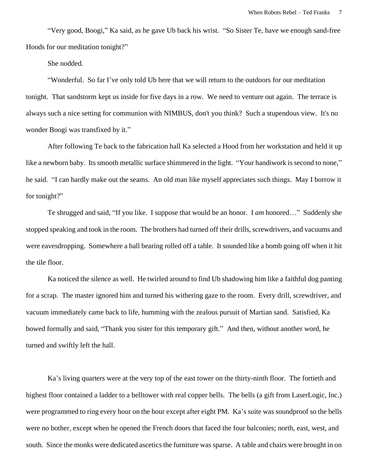"Very good, Boogi," Ka said, as he gave Ub back his wrist. "So Sister Te, have we enough sand-free Hoods for our meditation tonight?"

She nodded.

"Wonderful. So far I've only told Ub here that we will return to the outdoors for our meditation tonight. That sandstorm kept us inside for five days in a row. We need to venture out again. The terrace is always such a nice setting for communion with NIMBUS, don't you think? Such a stupendous view. It's no wonder Boogi was transfixed by it."

After following Te back to the fabrication hall Ka selected a Hood from her workstation and held it up like a newborn baby. Its smooth metallic surface shimmered in the light. "Your handiwork is second to none," he said. "I can hardly make out the seams. An old man like myself appreciates such things. May I borrow it for tonight?"

Te shrugged and said, "If you like. I suppose that would be an honor. I *am* honored…" Suddenly she stopped speaking and took in the room. The brothers had turned off their drills, screwdrivers, and vacuums and were eavesdropping. Somewhere a ball bearing rolled off a table. It sounded like a bomb going off when it hit the tile floor.

Ka noticed the silence as well. He twirled around to find Ub shadowing him like a faithful dog panting for a scrap. The master ignored him and turned his withering gaze to the room. Every drill, screwdriver, and vacuum immediately came back to life, humming with the zealous pursuit of Martian sand. Satisfied, Ka bowed formally and said, "Thank you sister for this temporary gift." And then, without another word, he turned and swiftly left the hall.

Ka's living quarters were at the very top of the east tower on the thirty-ninth floor. The fortieth and highest floor contained a ladder to a belltower with real copper bells. The bells (a gift from LaserLogic, Inc.) were programmed to ring every hour on the hour except after eight PM. Ka's suite was soundproof so the bells were no bother, except when he opened the French doors that faced the four balconies; north, east, west, and south. Since the monks were dedicated ascetics the furniture was sparse. A table and chairs were brought in on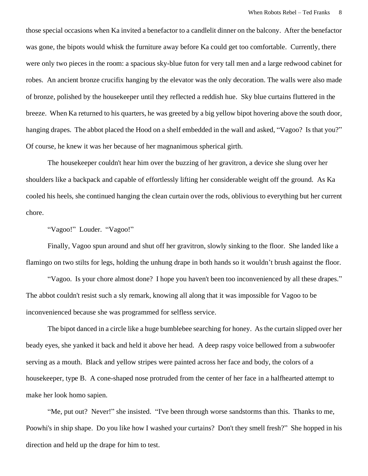those special occasions when Ka invited a benefactor to a candlelit dinner on the balcony. After the benefactor was gone, the bipots would whisk the furniture away before Ka could get too comfortable. Currently, there were only two pieces in the room: a spacious sky-blue futon for very tall men and a large redwood cabinet for robes. An ancient bronze crucifix hanging by the elevator was the only decoration. The walls were also made of bronze, polished by the housekeeper until they reflected a reddish hue. Sky blue curtains fluttered in the breeze. When Ka returned to his quarters, he was greeted by a big yellow bipot hovering above the south door, hanging drapes. The abbot placed the Hood on a shelf embedded in the wall and asked, "Vagoo? Is that you?" Of course, he knew it was her because of her magnanimous spherical girth.

The housekeeper couldn't hear him over the buzzing of her gravitron, a device she slung over her shoulders like a backpack and capable of effortlessly lifting her considerable weight off the ground. As Ka cooled his heels, she continued hanging the clean curtain over the rods, oblivious to everything but her current chore.

"Vagoo!" Louder. "Vagoo!"

Finally, Vagoo spun around and shut off her gravitron, slowly sinking to the floor. She landed like a flamingo on two stilts for legs, holding the unhung drape in both hands so it wouldn't brush against the floor.

"Vagoo. Is your chore almost done? I hope you haven't been too inconvenienced by all these drapes." The abbot couldn't resist such a sly remark, knowing all along that it was impossible for Vagoo to be inconvenienced because she was programmed for selfless service.

The bipot danced in a circle like a huge bumblebee searching for honey. As the curtain slipped over her beady eyes, she yanked it back and held it above her head. A deep raspy voice bellowed from a subwoofer serving as a mouth. Black and yellow stripes were painted across her face and body, the colors of a housekeeper, type B. A cone-shaped nose protruded from the center of her face in a halfhearted attempt to make her look homo sapien.

"Me, put out? Never!" she insisted. "I've been through worse sandstorms than this. Thanks to me, Poowhi's in ship shape. Do you like how I washed your curtains? Don't they smell fresh?" She hopped in his direction and held up the drape for him to test.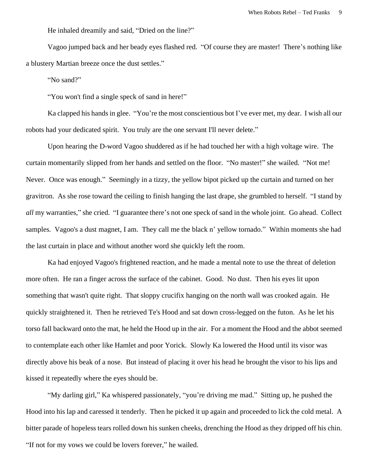He inhaled dreamily and said, "Dried on the line?"

Vagoo jumped back and her beady eyes flashed red. "Of course they are master! There's nothing like a blustery Martian breeze once the dust settles."

"No sand?"

"You won't find a single speck of sand in here!"

Ka clapped his hands in glee. "You're the most conscientious bot I've ever met, my dear. I wish all our robots had your dedicated spirit. You truly are the one servant I'll never delete."

Upon hearing the D-word Vagoo shuddered as if he had touched her with a high voltage wire. The curtain momentarily slipped from her hands and settled on the floor. "No master!" she wailed. "Not me! Never. Once was enough." Seemingly in a tizzy, the yellow bipot picked up the curtain and turned on her gravitron. As she rose toward the ceiling to finish hanging the last drape, she grumbled to herself. "I stand by *all* my warranties," she cried. "I guarantee there's not one speck of sand in the whole joint. Go ahead. Collect samples. Vagoo's a dust magnet, I am. They call me the black n' yellow tornado." Within moments she had the last curtain in place and without another word she quickly left the room.

Ka had enjoyed Vagoo's frightened reaction, and he made a mental note to use the threat of deletion more often. He ran a finger across the surface of the cabinet. Good. No dust. Then his eyes lit upon something that wasn't quite right. That sloppy crucifix hanging on the north wall was crooked again. He quickly straightened it. Then he retrieved Te's Hood and sat down cross-legged on the futon. As he let his torso fall backward onto the mat, he held the Hood up in the air. For a moment the Hood and the abbot seemed to contemplate each other like Hamlet and poor Yorick. Slowly Ka lowered the Hood until its visor was directly above his beak of a nose. But instead of placing it over his head he brought the visor to his lips and kissed it repeatedly where the eyes should be.

"My darling girl," Ka whispered passionately, "you're driving me mad." Sitting up, he pushed the Hood into his lap and caressed it tenderly. Then he picked it up again and proceeded to lick the cold metal. A bitter parade of hopeless tears rolled down his sunken cheeks, drenching the Hood as they dripped off his chin. "If not for my vows we could be lovers forever," he wailed.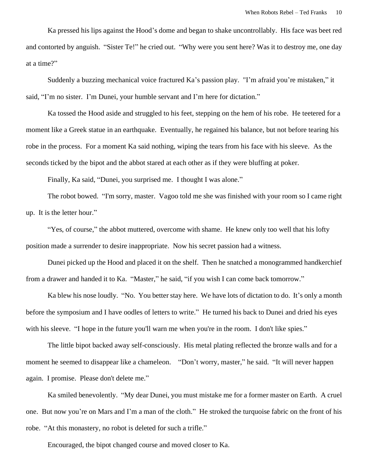Ka pressed his lips against the Hood's dome and began to shake uncontrollably. His face was beet red and contorted by anguish. "Sister Te!" he cried out. "Why were you sent here? Was it to destroy me, one day at a time?"

Suddenly a buzzing mechanical voice fractured Ka's passion play. "I'm afraid you're mistaken," it said, "I'm no sister. I'm Dunei, your humble servant and I'm here for dictation."

Ka tossed the Hood aside and struggled to his feet, stepping on the hem of his robe. He teetered for a moment like a Greek statue in an earthquake. Eventually, he regained his balance, but not before tearing his robe in the process. For a moment Ka said nothing, wiping the tears from his face with his sleeve. As the seconds ticked by the bipot and the abbot stared at each other as if they were bluffing at poker.

Finally, Ka said, "Dunei, you surprised me. I thought I was alone."

The robot bowed. "I'm sorry, master. Vagoo told me she was finished with your room so I came right up. It is the letter hour."

"Yes, of course," the abbot muttered, overcome with shame. He knew only too well that his lofty position made a surrender to desire inappropriate. Now his secret passion had a witness.

Dunei picked up the Hood and placed it on the shelf. Then he snatched a monogrammed handkerchief from a drawer and handed it to Ka. "Master," he said, "if you wish I can come back tomorrow."

Ka blew his nose loudly. "No. You better stay here. We have lots of dictation to do. It's only a month before the symposium and I have oodles of letters to write." He turned his back to Dunei and dried his eyes with his sleeve. "I hope in the future you'll warn me when you're in the room. I don't like spies."

The little bipot backed away self-consciously. His metal plating reflected the bronze walls and for a moment he seemed to disappear like a chameleon. "Don't worry, master," he said. "It will never happen again. I promise. Please don't delete me."

Ka smiled benevolently. "My dear Dunei, you must mistake me for a former master on Earth. A cruel one. But now you're on Mars and I'm a man of the cloth." He stroked the turquoise fabric on the front of his robe. "At this monastery, no robot is deleted for such a trifle."

Encouraged, the bipot changed course and moved closer to Ka.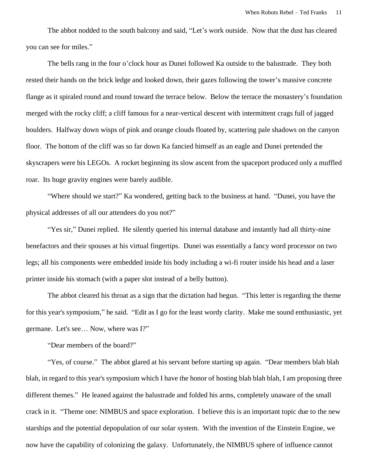The abbot nodded to the south balcony and said, "Let's work outside. Now that the dust has cleared you can see for miles."

The bells rang in the four o'clock hour as Dunei followed Ka outside to the balustrade. They both rested their hands on the brick ledge and looked down, their gazes following the tower's massive concrete flange as it spiraled round and round toward the terrace below. Below the terrace the monastery's foundation merged with the rocky cliff; a cliff famous for a near-vertical descent with intermittent crags full of jagged boulders. Halfway down wisps of pink and orange clouds floated by, scattering pale shadows on the canyon floor. The bottom of the cliff was so far down Ka fancied himself as an eagle and Dunei pretended the skyscrapers were his LEGOs. A rocket beginning its slow ascent from the spaceport produced only a muffled roar. Its huge gravity engines were barely audible.

"Where should we start?" Ka wondered, getting back to the business at hand. "Dunei, you have the physical addresses of all our attendees do you not?"

"Yes sir," Dunei replied. He silently queried his internal database and instantly had all thirty-nine benefactors and their spouses at his virtual fingertips. Dunei was essentially a fancy word processor on two legs; all his components were embedded inside his body including a wi-fi router inside his head and a laser printer inside his stomach (with a paper slot instead of a belly button).

The abbot cleared his throat as a sign that the dictation had begun. "This letter is regarding the theme for this year's symposium," he said. "Edit as I go for the least wordy clarity. Make me sound enthusiastic, yet germane. Let's see… Now, where was I?"

"Dear members of the board?"

"Yes, of course." The abbot glared at his servant before starting up again. "Dear members blah blah blah, in regard to this year's symposium which I have the honor of hosting blah blah blah, I am proposing three different themes." He leaned against the balustrade and folded his arms, completely unaware of the small crack in it. "Theme one: NIMBUS and space exploration. I believe this is an important topic due to the new starships and the potential depopulation of our solar system. With the invention of the Einstein Engine, we now have the capability of colonizing the galaxy. Unfortunately, the NIMBUS sphere of influence cannot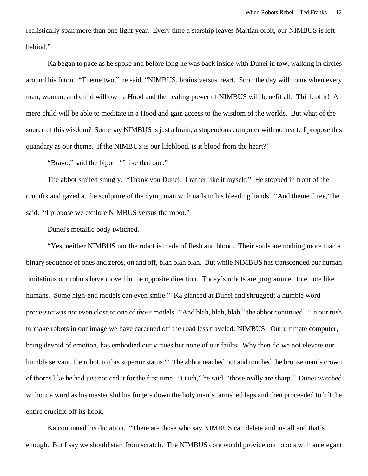realistically span more than one light-year. Every time a starship leaves Martian orbit, our NIMBUS is left behind."

Ka began to pace as he spoke and before long he was back inside with Dunei in tow, walking in circles around his futon. "Theme two," he said, "NIMBUS, brains versus heart. Soon the day will come when every man, woman, and child will own a Hood and the healing power of NIMBUS will benefit all. Think of it! A mere child will be able to meditate in a Hood and gain access to the wisdom of the worlds. But what of the source of this wisdom? Some say NIMBUS is just a brain, a stupendous computer with no heart. I propose this quandary as our theme. If the NIMBUS is our lifeblood, is it blood from the heart?"

"Bravo," said the bipot. "I like that one."

The abbot smiled smugly. "Thank you Dunei. I rather like it myself." He stopped in front of the crucifix and gazed at the sculpture of the dying man with nails in his bleeding hands. "And theme three," he said. "I propose we explore NIMBUS versus the robot."

Dunei's metallic body twitched.

"Yes, neither NIMBUS nor the robot is made of flesh and blood. Their souls are nothing more than a binary sequence of ones and zeros, on and off, blah blah blah. But while NIMBUS has transcended our human limitations our robots have moved in the opposite direction. Today's robots are programmed to emote like humans. Some high-end models can even smile." Ka glanced at Dunei and shrugged; a humble word processor was not even close to one of *those* models. "And blah, blah, blah," the abbot continued. "In our rush to make robots in our image we have careened off the road less traveled: NIMBUS. Our ultimate computer, being devoid of emotion, has embodied our virtues but none of our faults. Why then do we not elevate our humble servant, the robot, to this superior status?" The abbot reached out and touched the bronze man's crown of thorns like he had just noticed it for the first time. "Ouch," he said, "those really are sharp." Dunei watched without a word as his master slid his fingers down the holy man's tarnished legs and then proceeded to lift the entire crucifix off its hook.

Ka continued his dictation. "There are those who say NIMBUS can delete and install and that's enough. But I say we should start from scratch. The NIMBUS core would provide our robots with an elegant